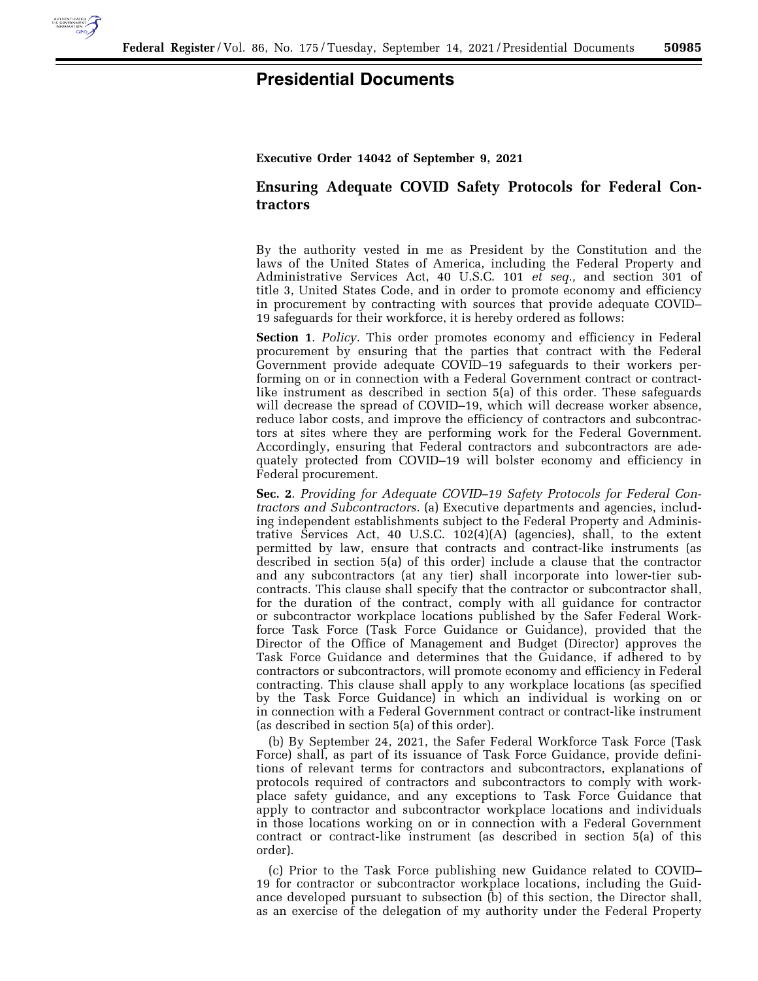

## **Presidential Documents**

**Executive Order 14042 of September 9, 2021** 

## **Ensuring Adequate COVID Safety Protocols for Federal Contractors**

By the authority vested in me as President by the Constitution and the laws of the United States of America, including the Federal Property and Administrative Services Act, 40 U.S.C. 101 *et seq.,* and section 301 of title 3, United States Code, and in order to promote economy and efficiency in procurement by contracting with sources that provide adequate COVID– 19 safeguards for their workforce, it is hereby ordered as follows:

**Section 1**. *Policy.* This order promotes economy and efficiency in Federal procurement by ensuring that the parties that contract with the Federal Government provide adequate COVID–19 safeguards to their workers performing on or in connection with a Federal Government contract or contractlike instrument as described in section 5(a) of this order. These safeguards will decrease the spread of COVID–19, which will decrease worker absence, reduce labor costs, and improve the efficiency of contractors and subcontractors at sites where they are performing work for the Federal Government. Accordingly, ensuring that Federal contractors and subcontractors are adequately protected from COVID–19 will bolster economy and efficiency in Federal procurement.

**Sec. 2**. *Providing for Adequate COVID–19 Safety Protocols for Federal Contractors and Subcontractors.* (a) Executive departments and agencies, including independent establishments subject to the Federal Property and Administrative Services Act, 40 U.S.C. 102(4)(A) (agencies), shall, to the extent permitted by law, ensure that contracts and contract-like instruments (as described in section 5(a) of this order) include a clause that the contractor and any subcontractors (at any tier) shall incorporate into lower-tier subcontracts. This clause shall specify that the contractor or subcontractor shall, for the duration of the contract, comply with all guidance for contractor or subcontractor workplace locations published by the Safer Federal Workforce Task Force (Task Force Guidance or Guidance), provided that the Director of the Office of Management and Budget (Director) approves the Task Force Guidance and determines that the Guidance, if adhered to by contractors or subcontractors, will promote economy and efficiency in Federal contracting. This clause shall apply to any workplace locations (as specified by the Task Force Guidance) in which an individual is working on or in connection with a Federal Government contract or contract-like instrument (as described in section 5(a) of this order).

(b) By September 24, 2021, the Safer Federal Workforce Task Force (Task Force) shall, as part of its issuance of Task Force Guidance, provide definitions of relevant terms for contractors and subcontractors, explanations of protocols required of contractors and subcontractors to comply with workplace safety guidance, and any exceptions to Task Force Guidance that apply to contractor and subcontractor workplace locations and individuals in those locations working on or in connection with a Federal Government contract or contract-like instrument (as described in section 5(a) of this order).

(c) Prior to the Task Force publishing new Guidance related to COVID– 19 for contractor or subcontractor workplace locations, including the Guidance developed pursuant to subsection (b) of this section, the Director shall, as an exercise of the delegation of my authority under the Federal Property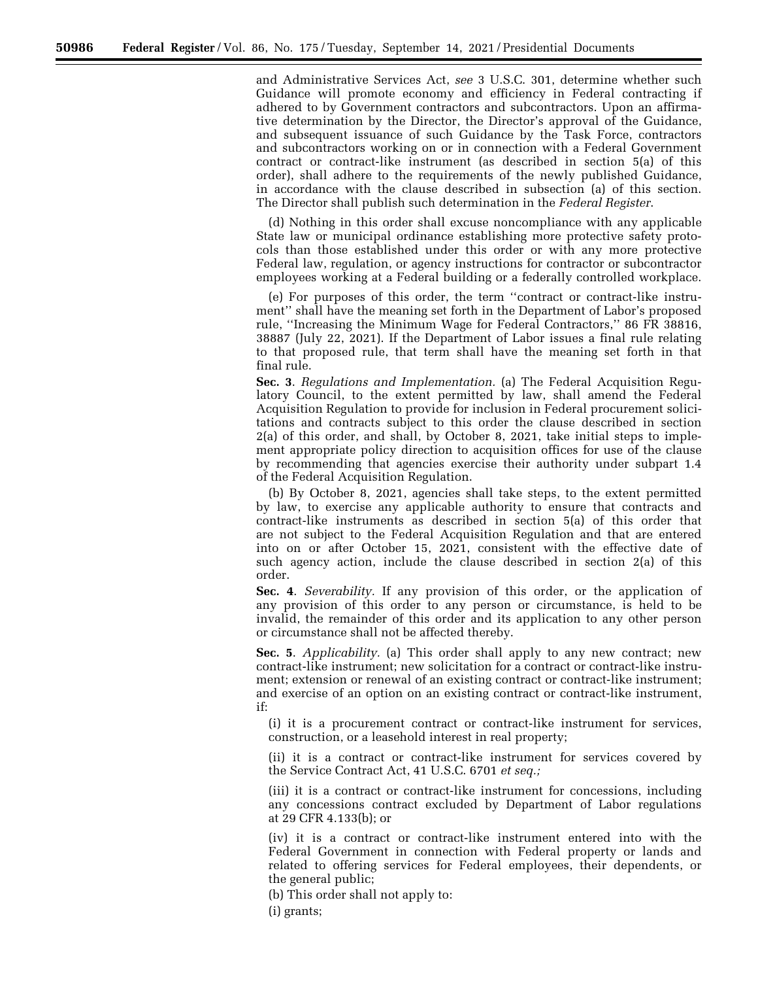and Administrative Services Act, *see* 3 U.S.C. 301, determine whether such Guidance will promote economy and efficiency in Federal contracting if adhered to by Government contractors and subcontractors. Upon an affirmative determination by the Director, the Director's approval of the Guidance, and subsequent issuance of such Guidance by the Task Force, contractors and subcontractors working on or in connection with a Federal Government contract or contract-like instrument (as described in section 5(a) of this order), shall adhere to the requirements of the newly published Guidance, in accordance with the clause described in subsection (a) of this section. The Director shall publish such determination in the *Federal Register*.

(d) Nothing in this order shall excuse noncompliance with any applicable State law or municipal ordinance establishing more protective safety protocols than those established under this order or with any more protective Federal law, regulation, or agency instructions for contractor or subcontractor employees working at a Federal building or a federally controlled workplace.

(e) For purposes of this order, the term ''contract or contract-like instrument'' shall have the meaning set forth in the Department of Labor's proposed rule, ''Increasing the Minimum Wage for Federal Contractors,'' 86 FR 38816, 38887 (July 22, 2021). If the Department of Labor issues a final rule relating to that proposed rule, that term shall have the meaning set forth in that final rule.

**Sec. 3**. *Regulations and Implementation.* (a) The Federal Acquisition Regulatory Council, to the extent permitted by law, shall amend the Federal Acquisition Regulation to provide for inclusion in Federal procurement solicitations and contracts subject to this order the clause described in section 2(a) of this order, and shall, by October 8, 2021, take initial steps to implement appropriate policy direction to acquisition offices for use of the clause by recommending that agencies exercise their authority under subpart 1.4 of the Federal Acquisition Regulation.

(b) By October 8, 2021, agencies shall take steps, to the extent permitted by law, to exercise any applicable authority to ensure that contracts and contract-like instruments as described in section 5(a) of this order that are not subject to the Federal Acquisition Regulation and that are entered into on or after October 15, 2021, consistent with the effective date of such agency action, include the clause described in section 2(a) of this order.

**Sec. 4**. *Severability.* If any provision of this order, or the application of any provision of this order to any person or circumstance, is held to be invalid, the remainder of this order and its application to any other person or circumstance shall not be affected thereby.

**Sec. 5**. *Applicability.* (a) This order shall apply to any new contract; new contract-like instrument; new solicitation for a contract or contract-like instrument; extension or renewal of an existing contract or contract-like instrument; and exercise of an option on an existing contract or contract-like instrument, if:

(i) it is a procurement contract or contract-like instrument for services, construction, or a leasehold interest in real property;

(ii) it is a contract or contract-like instrument for services covered by the Service Contract Act, 41 U.S.C. 6701 *et seq.;* 

(iii) it is a contract or contract-like instrument for concessions, including any concessions contract excluded by Department of Labor regulations at 29 CFR 4.133(b); or

(iv) it is a contract or contract-like instrument entered into with the Federal Government in connection with Federal property or lands and related to offering services for Federal employees, their dependents, or the general public;

(b) This order shall not apply to:

(i) grants;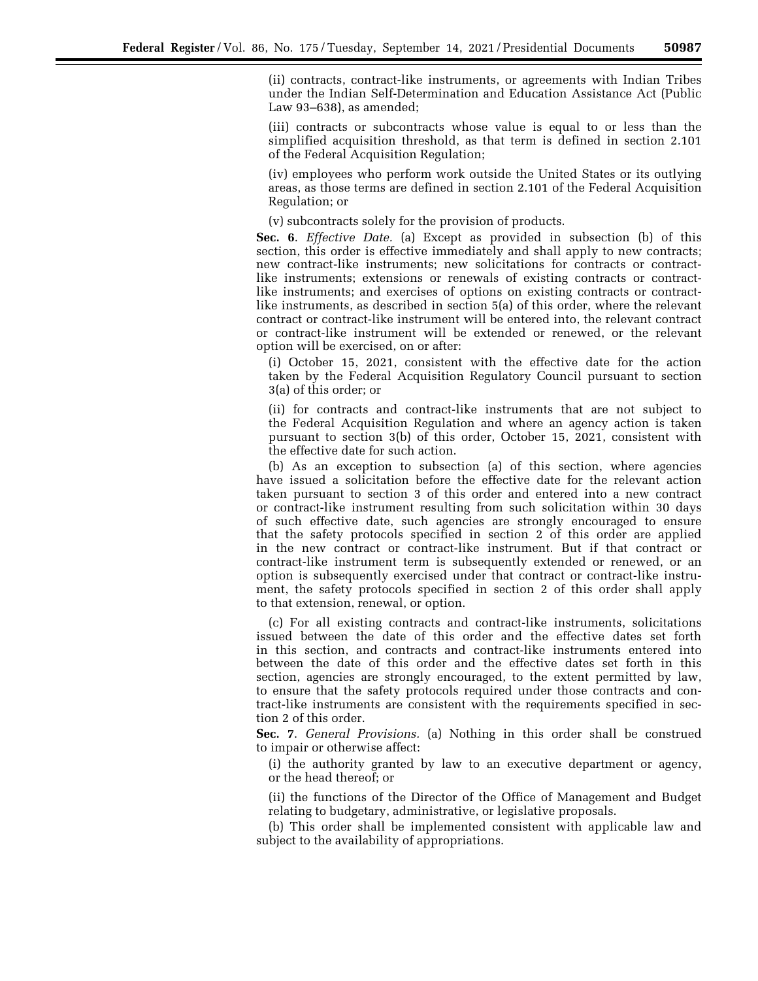(ii) contracts, contract-like instruments, or agreements with Indian Tribes under the Indian Self-Determination and Education Assistance Act (Public Law 93–638), as amended;

(iii) contracts or subcontracts whose value is equal to or less than the simplified acquisition threshold, as that term is defined in section 2.101 of the Federal Acquisition Regulation;

(iv) employees who perform work outside the United States or its outlying areas, as those terms are defined in section 2.101 of the Federal Acquisition Regulation; or

(v) subcontracts solely for the provision of products.

**Sec. 6**. *Effective Date.* (a) Except as provided in subsection (b) of this section, this order is effective immediately and shall apply to new contracts; new contract-like instruments; new solicitations for contracts or contractlike instruments; extensions or renewals of existing contracts or contractlike instruments; and exercises of options on existing contracts or contractlike instruments, as described in section 5(a) of this order, where the relevant contract or contract-like instrument will be entered into, the relevant contract or contract-like instrument will be extended or renewed, or the relevant option will be exercised, on or after:

(i) October 15, 2021, consistent with the effective date for the action taken by the Federal Acquisition Regulatory Council pursuant to section 3(a) of this order; or

(ii) for contracts and contract-like instruments that are not subject to the Federal Acquisition Regulation and where an agency action is taken pursuant to section 3(b) of this order, October 15, 2021, consistent with the effective date for such action.

(b) As an exception to subsection (a) of this section, where agencies have issued a solicitation before the effective date for the relevant action taken pursuant to section 3 of this order and entered into a new contract or contract-like instrument resulting from such solicitation within 30 days of such effective date, such agencies are strongly encouraged to ensure that the safety protocols specified in section 2 of this order are applied in the new contract or contract-like instrument. But if that contract or contract-like instrument term is subsequently extended or renewed, or an option is subsequently exercised under that contract or contract-like instrument, the safety protocols specified in section 2 of this order shall apply to that extension, renewal, or option.

(c) For all existing contracts and contract-like instruments, solicitations issued between the date of this order and the effective dates set forth in this section, and contracts and contract-like instruments entered into between the date of this order and the effective dates set forth in this section, agencies are strongly encouraged, to the extent permitted by law, to ensure that the safety protocols required under those contracts and contract-like instruments are consistent with the requirements specified in section 2 of this order.

**Sec. 7**. *General Provisions.* (a) Nothing in this order shall be construed to impair or otherwise affect:

(i) the authority granted by law to an executive department or agency, or the head thereof; or

(ii) the functions of the Director of the Office of Management and Budget relating to budgetary, administrative, or legislative proposals.

(b) This order shall be implemented consistent with applicable law and subject to the availability of appropriations.